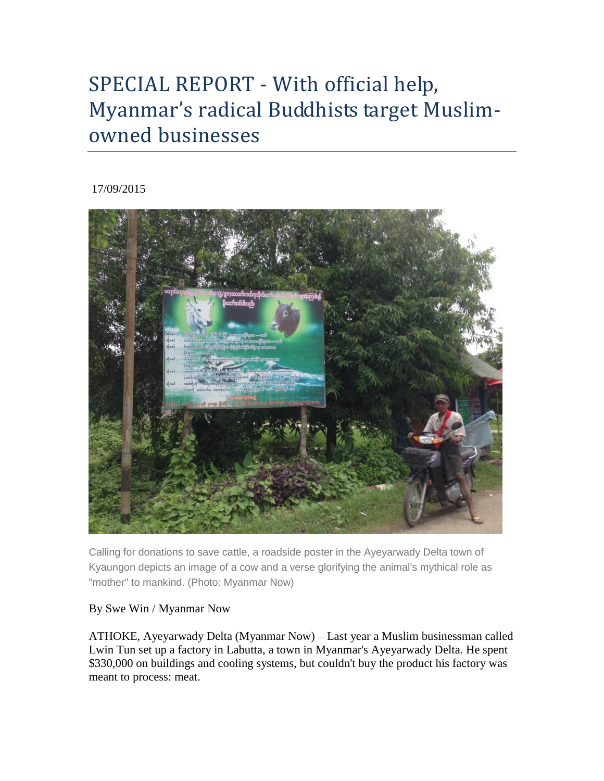# SPECIAL REPORT - With official help, Myanmar's radical Buddhists target Muslimowned businesses

## 17/09/2015



Calling for donations to save cattle, a roadside poster in the Ayeyarwady Delta town of Kyaungon depicts an image of a cow and a verse glorifying the animal's mythical role as "mother" to mankind. (Photo: Myanmar Now)

## By Swe Win / Myanmar Now

ATHOKE, Ayeyarwady Delta (Myanmar Now) – Last year a Muslim businessman called Lwin Tun set up a factory in Labutta, a town in Myanmar's Ayeyarwady Delta. He spent \$330,000 on buildings and cooling systems, but couldn't buy the product his factory was meant to process: meat.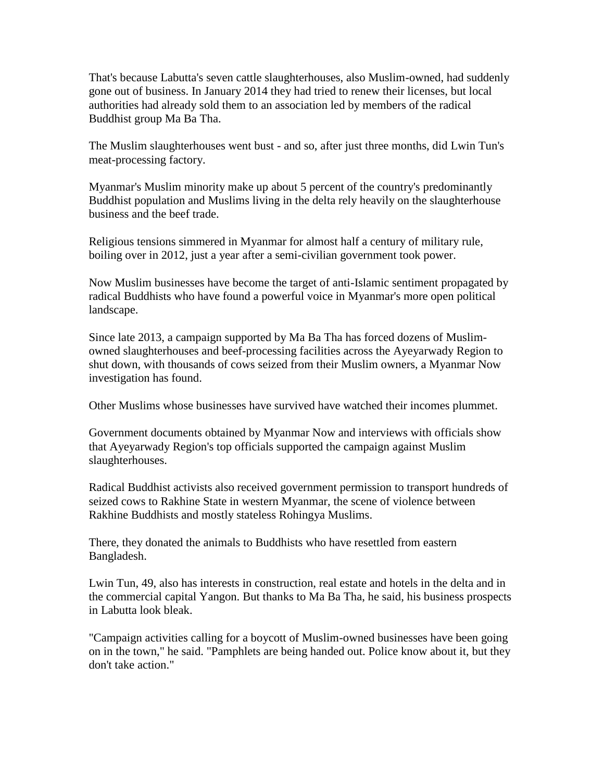That's because Labutta's seven cattle slaughterhouses, also Muslim-owned, had suddenly gone out of business. In January 2014 they had tried to renew their licenses, but local authorities had already sold them to an association led by members of the radical Buddhist group Ma Ba Tha.

The Muslim slaughterhouses went bust - and so, after just three months, did Lwin Tun's meat-processing factory.

Myanmar's Muslim minority make up about 5 percent of the country's predominantly Buddhist population and Muslims living in the delta rely heavily on the slaughterhouse business and the beef trade.

Religious tensions simmered in Myanmar for almost half a century of military rule, boiling over in 2012, just a year after a semi-civilian government took power.

Now Muslim businesses have become the target of anti-Islamic sentiment propagated by radical Buddhists who have found a powerful voice in Myanmar's more open political landscape.

Since late 2013, a campaign supported by Ma Ba Tha has forced dozens of Muslimowned slaughterhouses and beef-processing facilities across the Ayeyarwady Region to shut down, with thousands of cows seized from their Muslim owners, a Myanmar Now investigation has found.

Other Muslims whose businesses have survived have watched their incomes plummet.

Government documents obtained by Myanmar Now and interviews with officials show that Ayeyarwady Region's top officials supported the campaign against Muslim slaughterhouses.

Radical Buddhist activists also received government permission to transport hundreds of seized cows to Rakhine State in western Myanmar, the scene of violence between Rakhine Buddhists and mostly stateless Rohingya Muslims.

There, they donated the animals to Buddhists who have resettled from eastern Bangladesh.

Lwin Tun, 49, also has interests in construction, real estate and hotels in the delta and in the commercial capital Yangon. But thanks to Ma Ba Tha, he said, his business prospects in Labutta look bleak.

"Campaign activities calling for a boycott of Muslim-owned businesses have been going on in the town," he said. "Pamphlets are being handed out. Police know about it, but they don't take action."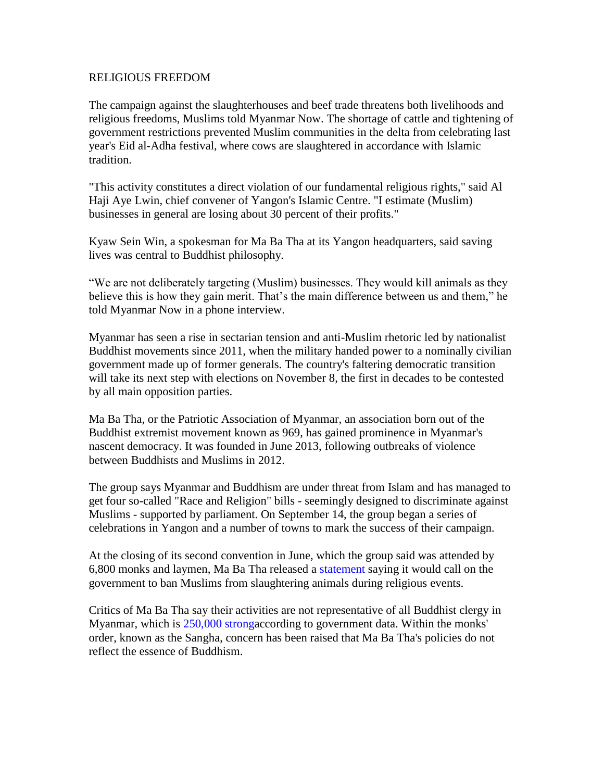#### RELIGIOUS FREEDOM

The campaign against the slaughterhouses and beef trade threatens both livelihoods and religious freedoms, Muslims told Myanmar Now. The shortage of cattle and tightening of government restrictions prevented Muslim communities in the delta from celebrating last year's Eid al-Adha festival, where cows are slaughtered in accordance with Islamic tradition.

"This activity constitutes a direct violation of our fundamental religious rights," said Al Haji Aye Lwin, chief convener of Yangon's Islamic Centre. "I estimate (Muslim) businesses in general are losing about 30 percent of their profits."

Kyaw Sein Win, a spokesman for Ma Ba Tha at its Yangon headquarters, said saving lives was central to Buddhist philosophy.

"We are not deliberately targeting (Muslim) businesses. They would kill animals as they believe this is how they gain merit. That's the main difference between us and them," he told Myanmar Now in a phone interview.

Myanmar has seen a rise in sectarian tension and anti-Muslim rhetoric led by nationalist Buddhist movements since 2011, when the military handed power to a nominally civilian government made up of former generals. The country's faltering democratic transition will take its next step with elections on November 8, the first in decades to be contested by all main opposition parties.

Ma Ba Tha, or the Patriotic Association of Myanmar, an association born out of the Buddhist extremist movement known as 969, has gained prominence in Myanmar's nascent democracy. It was founded in June 2013, following outbreaks of violence between Buddhists and Muslims in 2012.

The group says Myanmar and Buddhism are under threat from Islam and has managed to get four so-called "Race and Religion" bills - seemingly designed to discriminate against Muslims - supported by parliament. On September 14, the group began a series of celebrations in Yangon and a number of towns to mark the success of their campaign.

At the closing of its second convention in June, which the group said was attended by 6,800 monks and laymen, Ma Ba Tha released a [statement](https://www.facebook.com/centralpatrioticassociation/photos/pb.1516091281944625.-2207520000.1441340557./1666118936941858/?type=3&permPage=1) saying it would call on the government to ban Muslims from slaughtering animals during religious events.

Critics of Ma Ba Tha say their activities are not representative of all Buddhist clergy in Myanmar, which is [250,000 stronga](http://www.mora.gov.mm/mora_department1.aspx)ccording to government data. Within the monks' order, known as the Sangha, concern has been raised that Ma Ba Tha's policies do not reflect the essence of Buddhism.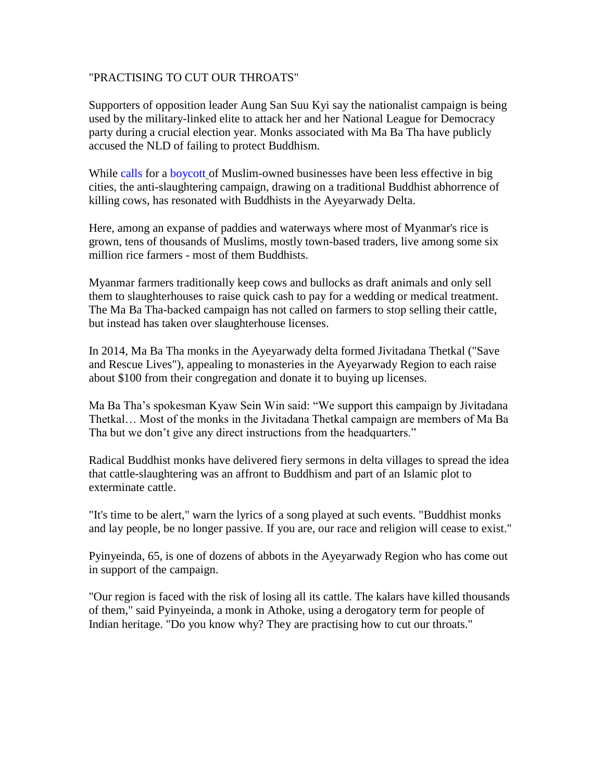### "PRACTISING TO CUT OUR THROATS"

Supporters of opposition leader Aung San Suu Kyi say the nationalist campaign is being used by the military-linked elite to attack her and her National League for Democracy party during a crucial election year. Monks associated with Ma Ba Tha have publicly accused the NLD of failing to protect Buddhism.

While [calls](http://www.mmtimes.com/index.php/national-news/10588-nationalists-call-for-ooredoo-boycott.html) for a [boycott](http://www.reuters.com/article/2015/06/15/us-myanmar-politics-religion-idUSKBN0OV2Q220150615) of Muslim-owned businesses have been less effective in big cities, the anti-slaughtering campaign, drawing on a traditional Buddhist abhorrence of killing cows, has resonated with Buddhists in the Ayeyarwady Delta.

Here, among an expanse of paddies and waterways where most of Myanmar's rice is grown, tens of thousands of Muslims, mostly town-based traders, live among some six million rice farmers - most of them Buddhists.

Myanmar farmers traditionally keep cows and bullocks as draft animals and only sell them to slaughterhouses to raise quick cash to pay for a wedding or medical treatment. The Ma Ba Tha-backed campaign has not called on farmers to stop selling their cattle, but instead has taken over slaughterhouse licenses.

In 2014, Ma Ba Tha monks in the Ayeyarwady delta formed Jivitadana Thetkal ("Save and Rescue Lives"), appealing to monasteries in the Ayeyarwady Region to each raise about \$100 from their congregation and donate it to buying up licenses.

Ma Ba Tha's spokesman Kyaw Sein Win said: "We support this campaign by Jivitadana Thetkal… Most of the monks in the Jivitadana Thetkal campaign are members of Ma Ba Tha but we don't give any direct instructions from the headquarters."

Radical Buddhist monks have delivered fiery sermons in delta villages to spread the idea that cattle-slaughtering was an affront to Buddhism and part of an Islamic plot to exterminate cattle.

"It's time to be alert," warn the lyrics of a song played at such events. "Buddhist monks and lay people, be no longer passive. If you are, our race and religion will cease to exist."

Pyinyeinda, 65, is one of dozens of abbots in the Ayeyarwady Region who has come out in support of the campaign.

"Our region is faced with the risk of losing all its cattle. The kalars have killed thousands of them," said Pyinyeinda, a monk in Athoke, using a derogatory term for people of Indian heritage. "Do you know why? They are practising how to cut our throats."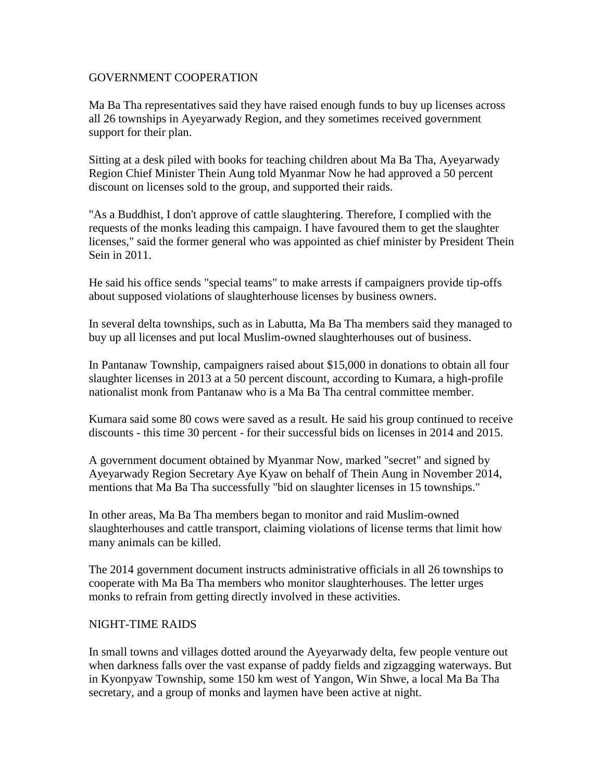#### GOVERNMENT COOPERATION

Ma Ba Tha representatives said they have raised enough funds to buy up licenses across all 26 townships in Ayeyarwady Region, and they sometimes received government support for their plan.

Sitting at a desk piled with books for teaching children about Ma Ba Tha, Ayeyarwady Region Chief Minister Thein Aung told Myanmar Now he had approved a 50 percent discount on licenses sold to the group, and supported their raids.

"As a Buddhist, I don't approve of cattle slaughtering. Therefore, I complied with the requests of the monks leading this campaign. I have favoured them to get the slaughter licenses," said the former general who was appointed as chief minister by President Thein Sein in 2011.

He said his office sends "special teams" to make arrests if campaigners provide tip-offs about supposed violations of slaughterhouse licenses by business owners.

In several delta townships, such as in Labutta, Ma Ba Tha members said they managed to buy up all licenses and put local Muslim-owned slaughterhouses out of business.

In Pantanaw Township, campaigners raised about \$15,000 in donations to obtain all four slaughter licenses in 2013 at a 50 percent discount, according to Kumara, a high-profile nationalist monk from Pantanaw who is a Ma Ba Tha central committee member.

Kumara said some 80 cows were saved as a result. He said his group continued to receive discounts - this time 30 percent - for their successful bids on licenses in 2014 and 2015.

A government document obtained by Myanmar Now, marked "secret" and signed by Ayeyarwady Region Secretary Aye Kyaw on behalf of Thein Aung in November 2014, mentions that Ma Ba Tha successfully "bid on slaughter licenses in 15 townships."

In other areas, Ma Ba Tha members began to monitor and raid Muslim-owned slaughterhouses and cattle transport, claiming violations of license terms that limit how many animals can be killed.

The 2014 government document instructs administrative officials in all 26 townships to cooperate with Ma Ba Tha members who monitor slaughterhouses. The letter urges monks to refrain from getting directly involved in these activities.

### NIGHT-TIME RAIDS

In small towns and villages dotted around the Ayeyarwady delta, few people venture out when darkness falls over the vast expanse of paddy fields and zigzagging waterways. But in Kyonpyaw Township, some 150 km west of Yangon, Win Shwe, a local Ma Ba Tha secretary, and a group of monks and laymen have been active at night.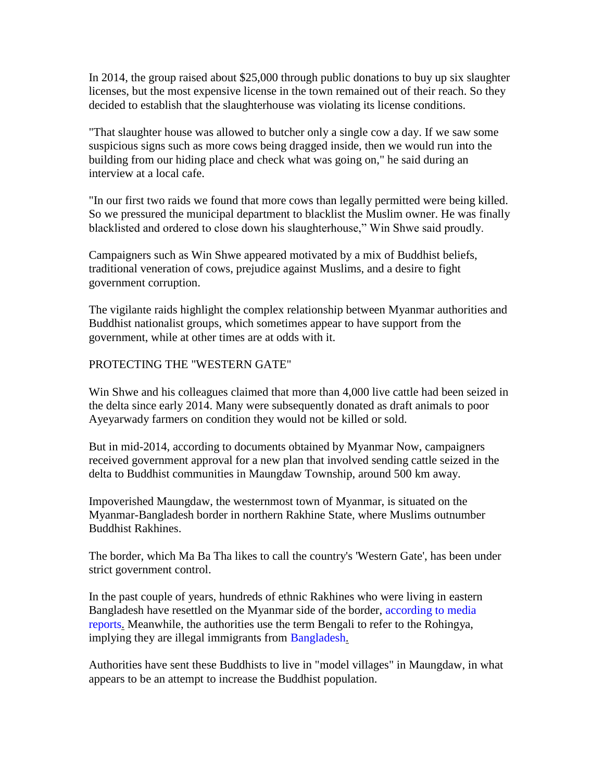In 2014, the group raised about \$25,000 through public donations to buy up six slaughter licenses, but the most expensive license in the town remained out of their reach. So they decided to establish that the slaughterhouse was violating its license conditions.

"That slaughter house was allowed to butcher only a single cow a day. If we saw some suspicious signs such as more cows being dragged inside, then we would run into the building from our hiding place and check what was going on," he said during an interview at a local cafe.

"In our first two raids we found that more cows than legally permitted were being killed. So we pressured the municipal department to blacklist the Muslim owner. He was finally blacklisted and ordered to close down his slaughterhouse," Win Shwe said proudly.

Campaigners such as Win Shwe appeared motivated by a mix of Buddhist beliefs, traditional veneration of cows, prejudice against Muslims, and a desire to fight government corruption.

The vigilante raids highlight the complex relationship between Myanmar authorities and Buddhist nationalist groups, which sometimes appear to have support from the government, while at other times are at odds with it.

## PROTECTING THE "WESTERN GATE"

Win Shwe and his colleagues claimed that more than 4,000 live cattle had been seized in the delta since early 2014. Many were subsequently donated as draft animals to poor Ayeyarwady farmers on condition they would not be killed or sold.

But in mid-2014, according to documents obtained by Myanmar Now, campaigners received government approval for a new plan that involved sending cattle seized in the delta to Buddhist communities in Maungdaw Township, around 500 km away.

Impoverished Maungdaw, the westernmost town of Myanmar, is situated on the Myanmar-Bangladesh border in northern Rakhine State, where Muslims outnumber Buddhist Rakhines.

The border, which Ma Ba Tha likes to call the country's 'Western Gate', has been under strict government control.

In the past couple of years, hundreds of ethnic Rakhines who were living in eastern Bangladesh have resettled on the Myanmar side of the border, [according to media](http://www.irrawaddy.org/burma/buddhists-leaving-bangladesh-welcomed-in-west-burma.html)  [reports.](http://www.irrawaddy.org/burma/buddhists-leaving-bangladesh-welcomed-in-west-burma.html) Meanwhile, the authorities use the term Bengali to refer to the Rohingya, implying they are illegal immigrants from [Bangladesh.](http://www.csmonitor.com/World/Asia-South-Central/2013/0524/Buddhists-from-Bangladesh-resettle-in-Myanmar-Rohingya-Muslims-cry-foul)

Authorities have sent these Buddhists to live in "model villages" in Maungdaw, in what appears to be an attempt to increase the Buddhist population.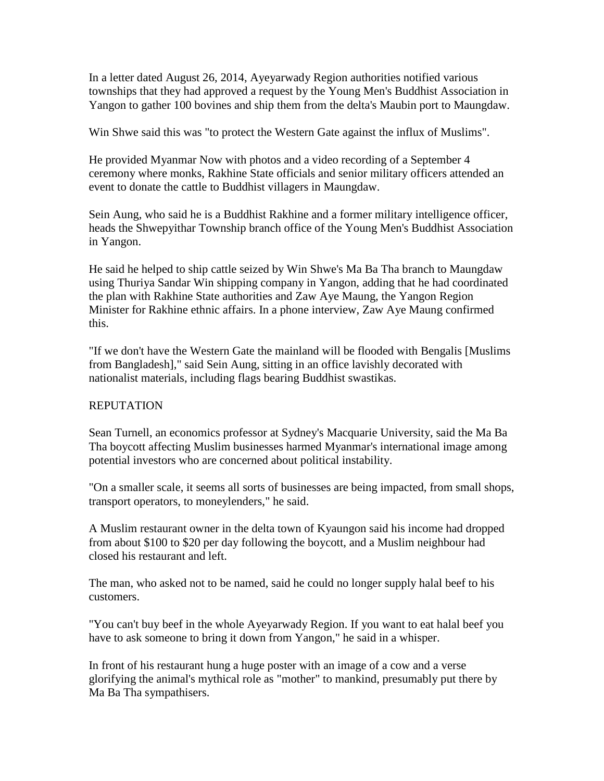In a letter dated August 26, 2014, Ayeyarwady Region authorities notified various townships that they had approved a request by the Young Men's Buddhist Association in Yangon to gather 100 bovines and ship them from the delta's Maubin port to Maungdaw.

Win Shwe said this was "to protect the Western Gate against the influx of Muslims".

He provided Myanmar Now with photos and a video recording of a September 4 ceremony where monks, Rakhine State officials and senior military officers attended an event to donate the cattle to Buddhist villagers in Maungdaw.

Sein Aung, who said he is a Buddhist Rakhine and a former military intelligence officer, heads the Shwepyithar Township branch office of the Young Men's Buddhist Association in Yangon.

He said he helped to ship cattle seized by Win Shwe's Ma Ba Tha branch to Maungdaw using Thuriya Sandar Win shipping company in Yangon, adding that he had coordinated the plan with Rakhine State authorities and Zaw Aye Maung, the Yangon Region Minister for Rakhine ethnic affairs. In a phone interview, Zaw Aye Maung confirmed this.

"If we don't have the Western Gate the mainland will be flooded with Bengalis [Muslims from Bangladesh]," said Sein Aung, sitting in an office lavishly decorated with nationalist materials, including flags bearing Buddhist swastikas.

### REPUTATION

Sean Turnell, an economics professor at Sydney's Macquarie University, said the Ma Ba Tha boycott affecting Muslim businesses harmed Myanmar's international image among potential investors who are concerned about political instability.

"On a smaller scale, it seems all sorts of businesses are being impacted, from small shops, transport operators, to moneylenders," he said.

A Muslim restaurant owner in the delta town of Kyaungon said his income had dropped from about \$100 to \$20 per day following the boycott, and a Muslim neighbour had closed his restaurant and left.

The man, who asked not to be named, said he could no longer supply halal beef to his customers.

"You can't buy beef in the whole Ayeyarwady Region. If you want to eat halal beef you have to ask someone to bring it down from Yangon," he said in a whisper.

In front of his restaurant hung a huge poster with an image of a cow and a verse glorifying the animal's mythical role as "mother" to mankind, presumably put there by Ma Ba Tha sympathisers.